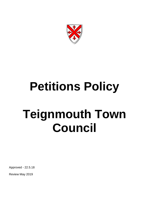

# **Petitions Policy Teignmouth Town Council**

Approved - 22.5.18

Review May 2019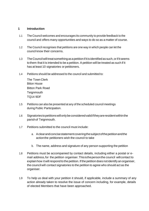### **1 Introduction**

- 1.1 The Council welcomes and encourages its community to provide feedback to the council and offers many opportunities and ways to do so as a matter of course.
- 1.2 The Council recognises that petitions are one way in which people can let the council know their concerns.
- 1.3 The Council will treat something as a petition if it is identified as such, or if it seems tothem that it is intended to be a petition. A petition will be treated as such if it has at least 10 signatories or petitioners.
- 1.4 Petitions should be addressed to the council and submitted to:

The Town Clerk Bitton House Bitton Park Road **Teignmouth** TQ14 9DF

- 1.5 Petitions can also be presented at any of the scheduled council meetings during Public Participation.
- 1.6 Signatoriestopetitionswillonlybeconsideredvalidiftheyareresidentwithinthe parishof Teignmouth.
- 1.7 Petitions submitted to the council must include:
	- a. Aclearandconcisestatementcoveringthesubjectofthepetitionandthe actionthe petitioners wish the council to take
	- b. The name, address and signature of any person supporting the petition
- 1.8 Petitions must be accompanied by contact details, including either a postal or email address,for the petition organiser.Thisisthepersonthe council willcontact to explain how it will respond to the petition. If the petition does not identify an organiser, the council will contact signatories to the petition to agree who should act as the organiser.
- 1.9 To help us deal with your petition it should, if applicable, include a summary of any action already taken to resolve the issue of concern including, for example, details of elected Members that have been approached.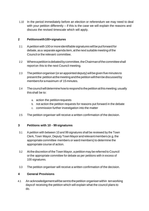1.10 In the period immediately before an election or referendum we may need to deal with your petition differently – if this is the case we will explain the reasons and discuss the revised timescale which will apply.

### **2 Petitionswith100+signatures**

- 2.1 A petition with 100 or more identifiable signatures will be put forward for debate, as a separate agenda item, at the next suitable meeting of the Council orthe relevant committee.
- 2.2 Whereapetitionisdebatedbycommittee,theChairmanofthecommitteeshall reporton this to the next Council meeting.
- 2.3 The petition organiser (or an appointed deputy) will be given five minutes to presentthe petitionatthemeetingandthepetitionwillthenbediscussedby membersforamaximum of 15 minutes.
- 2.4 The council will determine how to respond to the petition at this meeting; usually thisshall be to:
	- a. action the petitionrequests
	- b. not action the petition requests for reasons put forward in the debate
	- c. commission further investigation into the matter
- 2.5 The petition organiser will receive a written confirmation of the decision.

# **3 Petitions with 10 - 99 signatures**

- 3.1 A petition with between 10 and 99 signatures shall be reviewed by the Town Clerk, Town Mayor, Deputy Town Mayor and relevant members (e.g. the appropriate committee members or ward members) to determine the appropriate course of action.
- 3.2 At the discretion of the Town Mayor, a petition may be referred to Council orthe appropriate committee for debate as per petitions with in excess of 100 signatures.
- 3.3 The petition organiser will receive a written confirmation of the decision.

# **4 General Provisions**

4.1 An acknowledgementwillbesenttothepetition organiserwithin tenworking daysof receiving the petition which will explain what the council plans to do.